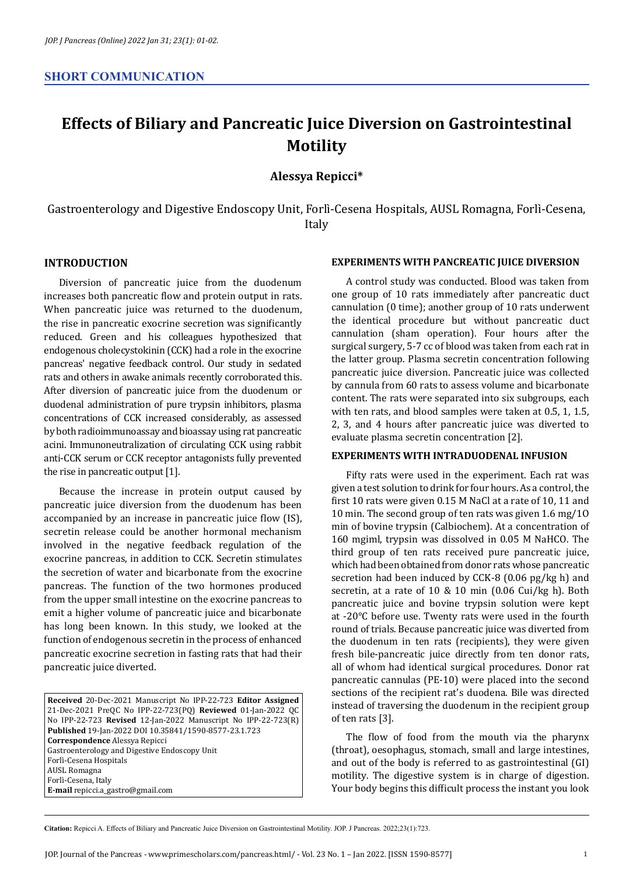# **Effects of Biliary and Pancreatic Juice Diversion on Gastrointestinal Motility**

**Alessya Repicci\***

Gastroenterology and Digestive Endoscopy Unit, Forlì-Cesena Hospitals, AUSL Romagna, Forlì-Cesena, Italy

## **INTRODUCTION**

Diversion of pancreatic juice from the duodenum increases both pancreatic flow and protein output in rats. When pancreatic juice was returned to the duodenum, the rise in pancreatic exocrine secretion was significantly reduced. Green and his colleagues hypothesized that endogenous cholecystokinin (CCK) had a role in the exocrine pancreas' negative feedback control. Our study in sedated rats and others in awake animals recently corroborated this. After diversion of pancreatic juice from the duodenum or duodenal administration of pure trypsin inhibitors, plasma concentrations of CCK increased considerably, as assessed by both radioimmunoassay and bioassay using rat pancreatic acini. Immunoneutralization of circulating CCK using rabbit anti-CCK serum or CCK receptor antagonists fully prevented the rise in pancreatic output [1].

Because the increase in protein output caused by pancreatic juice diversion from the duodenum has been accompanied by an increase in pancreatic juice flow (IS), secretin release could be another hormonal mechanism involved in the negative feedback regulation of the exocrine pancreas, in addition to CCK. Secretin stimulates the secretion of water and bicarbonate from the exocrine pancreas. The function of the two hormones produced from the upper small intestine on the exocrine pancreas to emit a higher volume of pancreatic juice and bicarbonate has long been known. In this study, we looked at the function of endogenous secretin in the process of enhanced pancreatic exocrine secretion in fasting rats that had their pancreatic juice diverted.

#### **EXPERIMENTS WITH PANCREATIC JUICE DIVERSION**

A control study was conducted. Blood was taken from one group of 10 rats immediately after pancreatic duct cannulation (0 time); another group of 10 rats underwent the identical procedure but without pancreatic duct cannulation (sham operation). Four hours after the surgical surgery, 5-7 cc of blood was taken from each rat in the latter group. Plasma secretin concentration following pancreatic juice diversion. Pancreatic juice was collected by cannula from 60 rats to assess volume and bicarbonate content. The rats were separated into six subgroups, each with ten rats, and blood samples were taken at 0.5, 1, 1.5, 2, 3, and 4 hours after pancreatic juice was diverted to evaluate plasma secretin concentration [2].

## **EXPERIMENTS WITH INTRADUODENAL INFUSION**

Fifty rats were used in the experiment. Each rat was given a test solution to drink for four hours. As a control, the first 10 rats were given 0.15 M NaCl at a rate of 10, 11 and 10 min. The second group of ten rats was given 1.6 mg/1O min of bovine trypsin (Calbiochem). At a concentration of 160 mgiml, trypsin was dissolved in 0.05 M NaHCO. The third group of ten rats received pure pancreatic juice, which had been obtained from donor rats whose pancreatic secretion had been induced by CCK-8 (0.06 pg/kg h) and secretin, at a rate of 10 & 10 min (0.06 Cui/kg h). Both pancreatic juice and bovine trypsin solution were kept at -20°C before use. Twenty rats were used in the fourth round of trials. Because pancreatic juice was diverted from the duodenum in ten rats (recipients), they were given fresh bile-pancreatic juice directly from ten donor rats, all of whom had identical surgical procedures. Donor rat pancreatic cannulas (PE-10) were placed into the second sections of the recipient rat's duodena. Bile was directed instead of traversing the duodenum in the recipient group of ten rats [3].

The flow of food from the mouth via the pharynx (throat), oesophagus, stomach, small and large intestines, and out of the body is referred to as gastrointestinal (GI) motility. The digestive system is in charge of digestion. Your body begins this difficult process the instant you look

**Received** 20-Dec-2021 Manuscript No IPP-22-723 **Editor Assigned**  21-Dec-2021 PreQC No IPP-22-723(PQ) **Reviewed** 01-Jan-2022 QC No IPP-22-723 **Revised** 12-Jan-2022 Manuscript No IPP-22-723(R) **Published** 19-Jan-2022 DOI 10.35841/1590-8577-23.1.723 **Correspondence** Alessya Repicci Gastroenterology and Digestive Endoscopy Unit Forlì-Cesena Hospitals AUSL Romagna Forlì-Cesena, Italy **E-mail** repicci.a\_gastro@gmail.com

**Citation:** Repicci A. Effects of Biliary and Pancreatic Juice Diversion on Gastrointestinal Motility. JOP. J Pancreas. 2022;23(1):723.